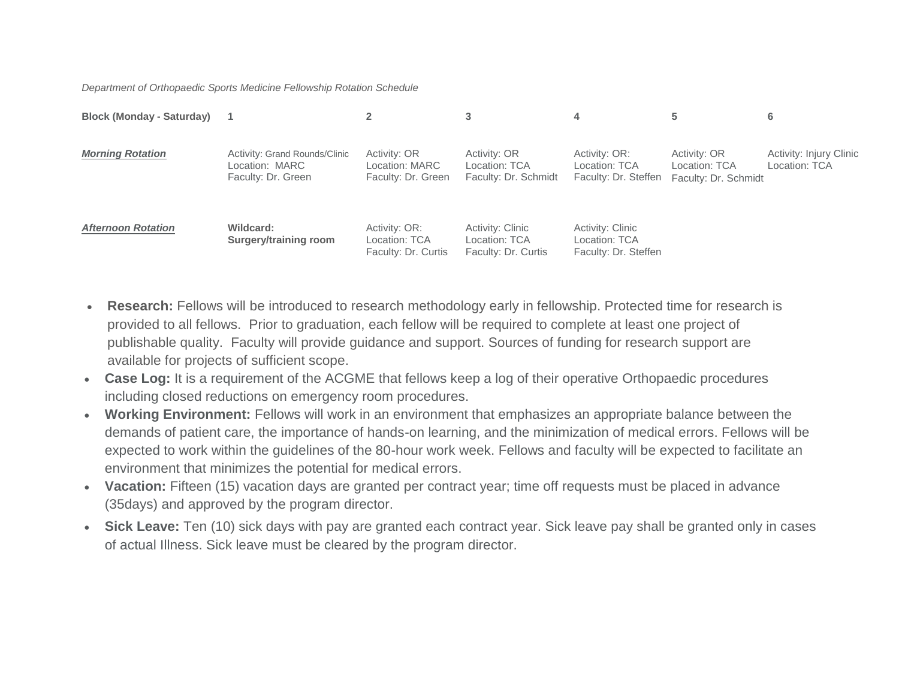*Department of Orthopaedic Sports Medicine Fellowship Rotation Schedule*

| <b>Block (Monday - Saturday)</b> |                                                                       |                                                       | 3                                                               | 4                                                         |                                                       | 6                                        |
|----------------------------------|-----------------------------------------------------------------------|-------------------------------------------------------|-----------------------------------------------------------------|-----------------------------------------------------------|-------------------------------------------------------|------------------------------------------|
| <b>Morning Rotation</b>          | Activity: Grand Rounds/Clinic<br>Location: MARC<br>Faculty: Dr. Green | Activity: OR<br>Location: MARC<br>Faculty: Dr. Green  | Activity: OR<br>Location: TCA<br>Faculty: Dr. Schmidt           | Activity: OR:<br>Location: TCA<br>Faculty: Dr. Steffen    | Activity: OR<br>Location: TCA<br>Faculty: Dr. Schmidt | Activity: Injury Clinic<br>Location: TCA |
| <b>Afternoon Rotation</b>        | Wildcard:<br>Surgery/training room                                    | Activity: OR:<br>Location: TCA<br>Faculty: Dr. Curtis | <b>Activity: Clinic</b><br>Location: TCA<br>Faculty: Dr. Curtis | Activity: Clinic<br>Location: TCA<br>Faculty: Dr. Steffen |                                                       |                                          |

- **Research:** Fellows will be introduced to research methodology early in fellowship. Protected time for research is provided to all fellows. Prior to graduation, each fellow will be required to complete at least one project of publishable quality. Faculty will provide guidance and support. Sources of funding for research support are available for projects of sufficient scope.
- **Case Log:** It is a requirement of the ACGME that fellows keep a log of their operative Orthopaedic procedures including closed reductions on emergency room procedures.
- **Working Environment:** Fellows will work in an environment that emphasizes an appropriate balance between the demands of patient care, the importance of hands-on learning, and the minimization of medical errors. Fellows will be expected to work within the guidelines of the 80-hour work week. Fellows and faculty will be expected to facilitate an environment that minimizes the potential for medical errors.
- **Vacation:** Fifteen (15) vacation days are granted per contract year; time off requests must be placed in advance (35days) and approved by the program director.
- **Sick Leave:** Ten (10) sick days with pay are granted each contract year. Sick leave pay shall be granted only in cases of actual Illness. Sick leave must be cleared by the program director.